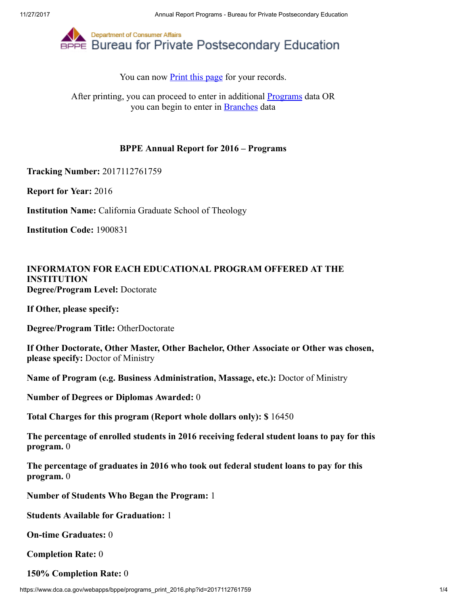

You can now **Print this page** for your records.

After printing, you can proceed to enter in additional **Programs** data OR you can begin to enter in [Branches](https://www.dca.ca.gov/webapps/bppe/report_branches_2016.php) data

## BPPE Annual Report for 2016 – Programs

Tracking Number: 2017112761759

Report for Year: 2016

Institution Name: California Graduate School of Theology

Institution Code: 1900831

## INFORMATON FOR EACH EDUCATIONAL PROGRAM OFFERED AT THE INSTITUTION Degree/Program Level: Doctorate

If Other, please specify:

Degree/Program Title: OtherDoctorate

If Other Doctorate, Other Master, Other Bachelor, Other Associate or Other was chosen, please specify: Doctor of Ministry

Name of Program (e.g. Business Administration, Massage, etc.): Doctor of Ministry

Number of Degrees or Diplomas Awarded: 0

Total Charges for this program (Report whole dollars only): \$ 16450

The percentage of enrolled students in 2016 receiving federal student loans to pay for this program. 0

The percentage of graduates in 2016 who took out federal student loans to pay for this program. 0

Number of Students Who Began the Program: 1

Students Available for Graduation: 1

On-time Graduates: 0

Completion Rate: 0

150% Completion Rate: 0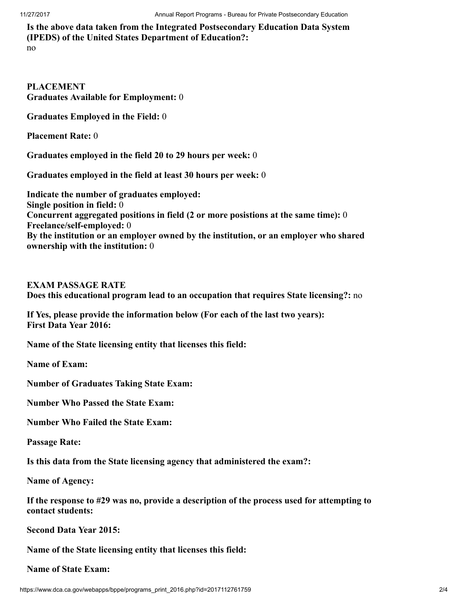Is the above data taken from the Integrated Postsecondary Education Data System (IPEDS) of the United States Department of Education?:

no

PLACEMENT Graduates Available for Employment: 0

Graduates Employed in the Field: 0

Placement Rate: 0

Graduates employed in the field 20 to 29 hours per week: 0

Graduates employed in the field at least 30 hours per week: 0

Indicate the number of graduates employed: Single position in field: 0 Concurrent aggregated positions in field (2 or more posistions at the same time): 0 Freelance/self-employed: 0 By the institution or an employer owned by the institution, or an employer who shared ownership with the institution: 0

EXAM PASSAGE RATE

Does this educational program lead to an occupation that requires State licensing?: no

If Yes, please provide the information below (For each of the last two years): First Data Year 2016:

Name of the State licensing entity that licenses this field:

Name of Exam:

Number of Graduates Taking State Exam:

Number Who Passed the State Exam:

Number Who Failed the State Exam:

Passage Rate:

Is this data from the State licensing agency that administered the exam?:

Name of Agency:

If the response to #29 was no, provide a description of the process used for attempting to contact students:

Second Data Year 2015:

Name of the State licensing entity that licenses this field:

Name of State Exam: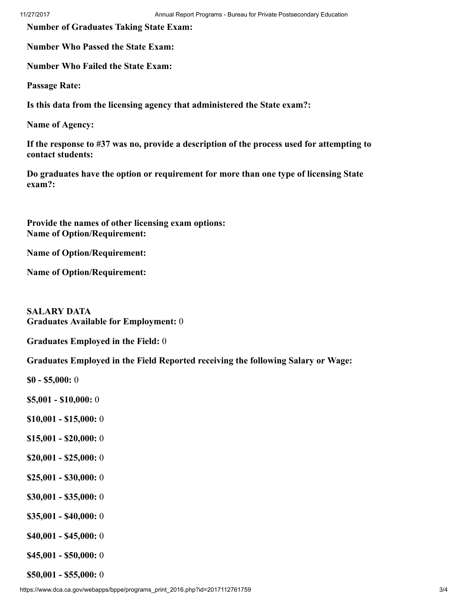Number of Graduates Taking State Exam:

Number Who Passed the State Exam:

Number Who Failed the State Exam:

Passage Rate:

Is this data from the licensing agency that administered the State exam?:

Name of Agency:

If the response to #37 was no, provide a description of the process used for attempting to contact students:

Do graduates have the option or requirement for more than one type of licensing State exam?:

Provide the names of other licensing exam options: Name of Option/Requirement:

Name of Option/Requirement:

Name of Option/Requirement:

SALARY DATA Graduates Available for Employment: 0

Graduates Employed in the Field: 0

Graduates Employed in the Field Reported receiving the following Salary or Wage:

\$0 - \$5,000: 0

\$5,001 - \$10,000: 0

- \$10,001 \$15,000: 0
- \$15,001 \$20,000: 0
- \$20,001 \$25,000: 0
- \$25,001 \$30,000: 0
- \$30,001 \$35,000: 0
- \$35,001 \$40,000: 0
- \$40,001 \$45,000: 0
- \$45,001 \$50,000: 0

\$50,001 - \$55,000: 0